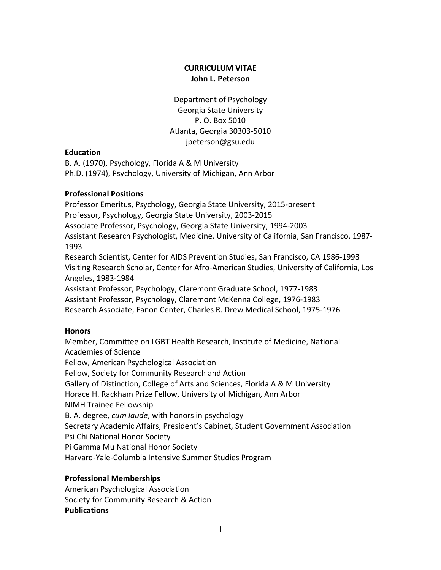# **CURRICULUM VITAE John L. Peterson**

Department of Psychology Georgia State University P. O. Box 5010 Atlanta, Georgia 30303-5010 jpeterson@gsu.edu

# **Education**

B. A. (1970), Psychology, Florida A & M University Ph.D. (1974), Psychology, University of Michigan, Ann Arbor

# **Professional Positions**

Professor Emeritus, Psychology, Georgia State University, 2015-present Professor, Psychology, Georgia State University, 2003-2015 Associate Professor, Psychology, Georgia State University, 1994-2003 Assistant Research Psychologist, Medicine, University of California, San Francisco, 1987- 1993 Research Scientist, Center for AIDS Prevention Studies, San Francisco, CA 1986-1993 Visiting Research Scholar, Center for Afro-American Studies, University of California, Los Angeles, 1983-1984 Assistant Professor, Psychology, Claremont Graduate School, 1977-1983

Assistant Professor, Psychology, Claremont McKenna College, 1976-1983 Research Associate, Fanon Center, Charles R. Drew Medical School, 1975-1976

# **Honors**

Member, Committee on LGBT Health Research, Institute of Medicine, National Academies of Science Fellow, American Psychological Association Fellow, Society for Community Research and Action Gallery of Distinction, College of Arts and Sciences, Florida A & M University Horace H. Rackham Prize Fellow, University of Michigan, Ann Arbor NIMH Trainee Fellowship B. A. degree, *cum laude*, with honors in psychology Secretary Academic Affairs, President's Cabinet, Student Government Association Psi Chi National Honor Society Pi Gamma Mu National Honor Society Harvard-Yale-Columbia Intensive Summer Studies Program

# **Professional Memberships**

American Psychological Association Society for Community Research & Action **Publications**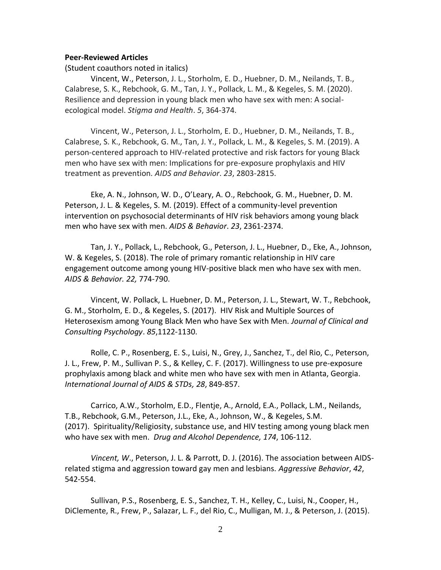#### **Peer-Reviewed Articles**

(Student coauthors noted in italics)

Vincent, W., Peterson, J. L., Storholm, E. D., Huebner, D. M., Neilands, T. B., Calabrese, S. K., Rebchook, G. M., Tan, J. Y., Pollack, L. M., & Kegeles, S. M. (2020). Resilience and depression in young black men who have sex with men: A socialecological model. *Stigma and Health*. *5*, 364-374.

Vincent, W., Peterson, J. L., Storholm, E. D., Huebner, D. M., Neilands, T. B., Calabrese, S. K., Rebchook, G. M., Tan, J. Y., Pollack, L. M., & Kegeles, S. M. (2019). A person-centered approach to HIV-related protective and risk factors for young Black men who have sex with men: Implications for pre-exposure prophylaxis and HIV treatment as prevention. *AIDS and Behavior*. *23*, 2803-2815.

Eke, A. N., Johnson, W. D., O'Leary, A. O., Rebchook, G. M., Huebner, D. M. Peterson, J. L. & Kegeles, S. M. (2019). Effect of a community-level prevention intervention on psychosocial determinants of HIV risk behaviors among young black men who have sex with men. *AIDS & Behavior*. *23*, 2361-2374.

Tan, J. Y., Pollack, L., Rebchook, G., Peterson, J. L., Huebner, D., Eke, A., Johnson, W. & Kegeles, S. (2018). The role of primary romantic relationship in HIV care engagement outcome among young HIV-positive black men who have sex with men. *AIDS & Behavior. 22,* 774-790.

Vincent, W. Pollack, L. Huebner, D. M., Peterson, J. L., Stewart, W. T., Rebchook, G. M., Storholm, E. D., & Kegeles, S. (2017). HIV Risk and Multiple Sources of Heterosexism among Young Black Men who have Sex with Men. *Journal of Clinical and Consulting Psychology*. *85*,1122-1130.

Rolle, C. P., Rosenberg, E. S., Luisi, N., Grey, J., Sanchez, T., del Rio, C., Peterson, J. L., Frew, P. M., Sullivan P. S., & Kelley, C. F. (2017). Willingness to use pre-exposure prophylaxis among black and white men who have sex with men in Atlanta, Georgia. *International Journal of AIDS & STDs, 28*, 849-857.

Carrico, A.W., Storholm, E.D., Flentje, A., Arnold, E.A., Pollack, L.M., Neilands, T.B., Rebchook, G.M., Peterson, J.L., Eke, A., Johnson, W., & Kegeles, S.M. (2017). Spirituality/Religiosity, substance use, and HIV testing among young black men who have sex with men. *Drug and Alcohol Dependence, 174*, 106-112.

*Vincent, W*., Peterson, J. L. & Parrott, D. J. (2016). The association between AIDSrelated stigma and aggression toward gay men and lesbians. *Aggressive Behavior*, *42*, 542-554.

Sullivan, P.S., Rosenberg, E. S., Sanchez, T. H., Kelley, C., Luisi, N., Cooper, H., DiClemente, R., Frew, P., Salazar, L. F., del Rio, C., Mulligan, M. J., & Peterson, J. (2015).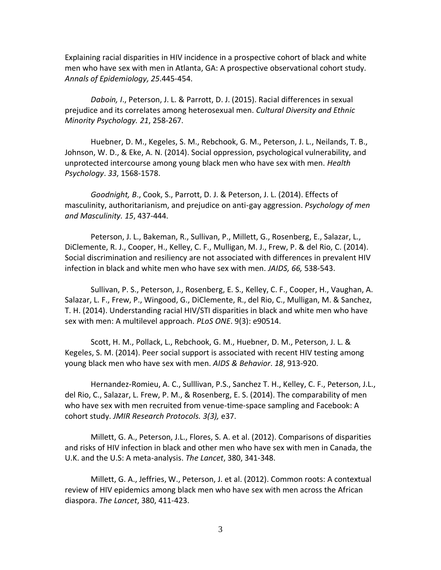Explaining racial disparities in HIV incidence in a prospective cohort of black and white men who have sex with men in Atlanta, GA: A prospective observational cohort study. *Annals of Epidemiology, 25*.445-454.

*Daboin, I*., Peterson, J. L. & Parrott, D. J. (2015). Racial differences in sexual prejudice and its correlates among heterosexual men. *Cultural Diversity and Ethnic Minority Psychology. 21*, 258-267.

Huebner, D. M., Kegeles, S. M., Rebchook, G. M., Peterson, J. L., Neilands, T. B., Johnson, W. D., & Eke, A. N. (2014). Social oppression, psychological vulnerability, and unprotected intercourse among young black men who have sex with men. *Health Psychology*. *33*, 1568-1578.

*Goodnight, B*., Cook, S., Parrott, D. J. & Peterson, J. L. (2014). Effects of masculinity, authoritarianism, and prejudice on anti-gay aggression. *Psychology of men and Masculinity. 15*, 437-444.

Peterson, J. L., Bakeman, R., Sullivan, P., Millett, G., Rosenberg, E., Salazar, L., DiClemente, R. J., Cooper, H., Kelley, C. F., Mulligan, M. J., Frew, P. & del Rio, C. (2014). Social discrimination and resiliency are not associated with differences in prevalent HIV infection in black and white men who have sex with men. *JAIDS, 66,* 538-543.

Sullivan, P. S., Peterson, J., Rosenberg, E. S., Kelley, C. F., Cooper, H., Vaughan, A. Salazar, L. F., Frew, P., Wingood, G., DiClemente, R., del Rio, C., Mulligan, M. & Sanchez, T. H. (2014). Understanding racial HIV/STI disparities in black and white men who have sex with men: A multilevel approach. *PLoS ONE*. 9(3): e90514.

Scott, H. M., Pollack, L., Rebchook, G. M., Huebner, D. M., Peterson, J. L. & Kegeles, S. M. (2014). Peer social support is associated with recent HIV testing among young black men who have sex with men. *AIDS & Behavior*. *18*, 913-920.

Hernandez-Romieu, A. C., Sulllivan, P.S., Sanchez T. H., Kelley, C. F., Peterson, J.L., del Rio, C., Salazar, L. Frew, P. M., & Rosenberg, E. S. (2014). The comparability of men who have sex with men recruited from venue-time-space sampling and Facebook: A cohort study. *JMIR Research Protocols. 3(3),* e37.

Millett, G. A., Peterson, J.L., Flores, S. A. et al. (2012). Comparisons of disparities and risks of HIV infection in black and other men who have sex with men in Canada, the U.K. and the U.S: A meta-analysis. *The Lancet*, 380, 341-348.

Millett, G. A., Jeffries, W., Peterson, J. et al. (2012). Common roots: A contextual review of HIV epidemics among black men who have sex with men across the African diaspora. *The Lancet*, 380, 411-423.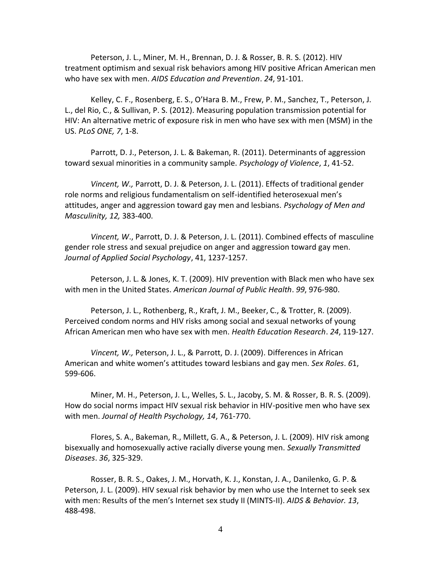Peterson, J. L., Miner, M. H., Brennan, D. J. & Rosser, B. R. S. (2012). HIV treatment optimism and sexual risk behaviors among HIV positive African American men who have sex with men. *AIDS Education and Prevention*. *24*, 91-101.

Kelley, C. F., Rosenberg, E. S., O'Hara B. M., Frew, P. M., Sanchez, T., Peterson, J. L., del Rio, C., & Sullivan, P. S. (2012). Measuring population transmission potential for HIV: An alternative metric of exposure risk in men who have sex with men (MSM) in the US. *PLoS ONE, 7*, 1-8.

Parrott, D. J., Peterson, J. L. & Bakeman, R. (2011). Determinants of aggression toward sexual minorities in a community sample. *Psychology of Violence*, *1*, 41-52.

*Vincent, W.,* Parrott, D. J. & Peterson, J. L. (2011). Effects of traditional gender role norms and religious fundamentalism on self-identified heterosexual men's attitudes, anger and aggression toward gay men and lesbians. *Psychology of Men and Masculinity, 12,* 383-400.

*Vincent, W*., Parrott, D. J. & Peterson, J. L. (2011). Combined effects of masculine gender role stress and sexual prejudice on anger and aggression toward gay men. *Journal of Applied Social Psychology*, 41, 1237-1257.

Peterson, J. L. & Jones, K. T. (2009). HIV prevention with Black men who have sex with men in the United States. *American Journal of Public Health*. *99*, 976-980.

Peterson, J. L., Rothenberg, R., Kraft, J. M., Beeker, C., & Trotter, R. (2009). Perceived condom norms and HIV risks among social and sexual networks of young African American men who have sex with men. *Health Education Research*. *24*, 119-127.

*Vincent, W.,* Peterson, J. L., & Parrott, D. J. (2009). Differences in African American and white women's attitudes toward lesbians and gay men. *Sex Roles*. *6*1, 599-606.

Miner, M. H., Peterson, J. L., Welles, S. L., Jacoby, S. M. & Rosser, B. R. S. (2009). How do social norms impact HIV sexual risk behavior in HIV-positive men who have sex with men. *Journal of Health Psychology, 14*, 761-770.

Flores, S. A., Bakeman, R., Millett, G. A., & Peterson, J. L. (2009). HIV risk among bisexually and homosexually active racially diverse young men. *Sexually Transmitted Diseases*. *36*, 325-329.

Rosser, B. R. S., Oakes, J. M., Horvath, K. J., Konstan, J. A., Danilenko, G. P. & Peterson, J. L. (2009). HIV sexual risk behavior by men who use the Internet to seek sex with men: Results of the men's Internet sex study II (MINTS-II). *AIDS & Behavior. 13*, 488-498.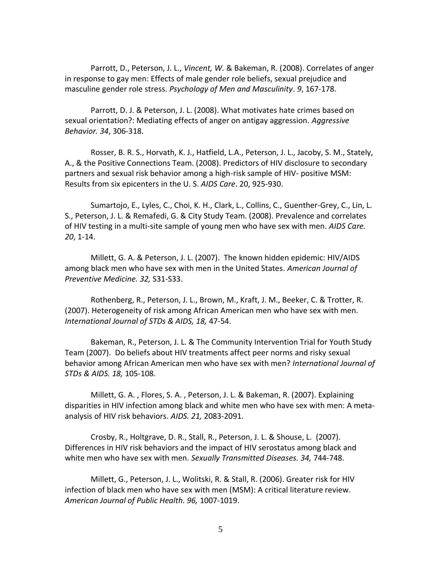Parrott, D., Peterson, J. L., *Vincent, W.* & Bakeman, R. (2008). Correlates of anger in response to gay men: Effects of male gender role beliefs, sexual prejudice and masculine gender role stress. *Psychology of Men and Masculinity*. *9*, 167-178.

Parrott, D. J. & Peterson, J. L. (2008). What motivates hate crimes based on sexual orientation?: Mediating effects of anger on antigay aggression. *Aggressive Behavior. 34*, 306-318.

Rosser, B. R. S., Horvath, K. J., Hatfield, L.A., Peterson, J. L., Jacoby, S. M., Stately, A., & the Positive Connections Team. (2008). Predictors of HIV disclosure to secondary partners and sexual risk behavior among a high-risk sample of HIV- positive MSM: Results from six epicenters in the U. S. *AIDS Care*. 20, 925-930.

Sumartojo, E., Lyles, C., Choi, K. H., Clark, L., Collins, C., Guenther-Grey, C., Lin, L. S., Peterson, J. L. & Remafedi, G. & City Study Team. (2008). Prevalence and correlates of HIV testing in a multi-site sample of young men who have sex with men. *AIDS Care. 20*, 1-14.

Millett, G. A. & Peterson, J. L. (2007). The known hidden epidemic: HIV/AIDS among black men who have sex with men in the United States. *American Journal of Preventive Medicine. 32,* S31-S33.

Rothenberg, R., Peterson, J. L., Brown, M., Kraft, J. M., Beeker, C. & Trotter, R. (2007). Heterogeneity of risk among African American men who have sex with men. *International Journal of STDs & AIDS, 18,* 47-54.

Bakeman, R., Peterson, J. L. & The Community Intervention Trial for Youth Study Team (2007). Do beliefs about HIV treatments affect peer norms and risky sexual behavior among African American men who have sex with men? *International Journal of STDs & AIDS. 18,* 105-108.

Millett, G. A. , Flores, S. A. , Peterson, J. L. & Bakeman, R. (2007). Explaining disparities in HIV infection among black and white men who have sex with men: A metaanalysis of HIV risk behaviors. *AIDS. 21,* 2083-2091.

Crosby, R., Holtgrave, D. R., Stall, R., Peterson, J. L. & Shouse, L. (2007). Differences in HIV risk behaviors and the impact of HIV serostatus among black and white men who have sex with men. *Sexually Transmitted Diseases. 34,* 744-748.

Millett, G., Peterson, J. L., Wolitski, R. & Stall, R. (2006). Greater risk for HIV infection of black men who have sex with men (MSM): A critical literature review. *American Journal of Public Health. 96,* 1007-1019.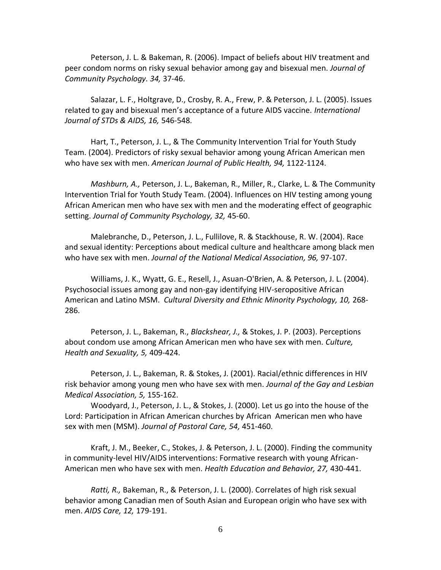Peterson, J. L. & Bakeman, R. (2006). Impact of beliefs about HIV treatment and peer condom norms on risky sexual behavior among gay and bisexual men. *Journal of Community Psychology. 34,* 37-46.

Salazar, L. F., Holtgrave, D., Crosby, R. A., Frew, P. & Peterson, J. L. (2005). Issues related to gay and bisexual men's acceptance of a future AIDS vaccine. *International Journal of STDs & AIDS, 16,* 546-548.

Hart, T., Peterson, J. L., & The Community Intervention Trial for Youth Study Team. (2004). Predictors of risky sexual behavior among young African American men who have sex with men. *American Journal of Public Health, 94,* 1122-1124.

*Mashburn, A.,* Peterson, J. L., Bakeman, R., Miller, R., Clarke, L. & The Community Intervention Trial for Youth Study Team. (2004). Influences on HIV testing among young African American men who have sex with men and the moderating effect of geographic setting. *Journal of Community Psychology, 32,* 45-60.

Malebranche, D., Peterson, J. L., Fullilove, R. & Stackhouse, R. W. (2004). Race and sexual identity: Perceptions about medical culture and healthcare among black men who have sex with men. *Journal of the National Medical Association, 96,* 97-107.

Williams, J. K., Wyatt, G. E., Resell, J., Asuan-O'Brien, A. & Peterson, J. L. (2004). Psychosocial issues among gay and non-gay identifying HIV-seropositive African American and Latino MSM. *Cultural Diversity and Ethnic Minority Psychology, 10,* 268- 286.

Peterson, J. L., Bakeman, R., *Blackshear, J.,* & Stokes, J. P. (2003). Perceptions about condom use among African American men who have sex with men. *Culture, Health and Sexuality, 5,* 409-424.

Peterson, J. L., Bakeman, R. & Stokes, J. (2001). Racial/ethnic differences in HIV risk behavior among young men who have sex with men. *Journal of the Gay and Lesbian Medical Association, 5,* 155-162.

Woodyard, J., Peterson, J. L., & Stokes, J. (2000). Let us go into the house of the Lord: Participation in African American churches by African American men who have sex with men (MSM). *Journal of Pastoral Care, 54,* 451-460.

Kraft, J. M., Beeker, C., Stokes, J. & Peterson, J. L. (2000). Finding the community in community-level HIV/AIDS interventions: Formative research with young African-American men who have sex with men. *Health Education and Behavior, 27,* 430-441.

*Ratti, R.,* Bakeman, R., & Peterson, J. L. (2000). Correlates of high risk sexual behavior among Canadian men of South Asian and European origin who have sex with men. *AIDS Care, 12,* 179-191.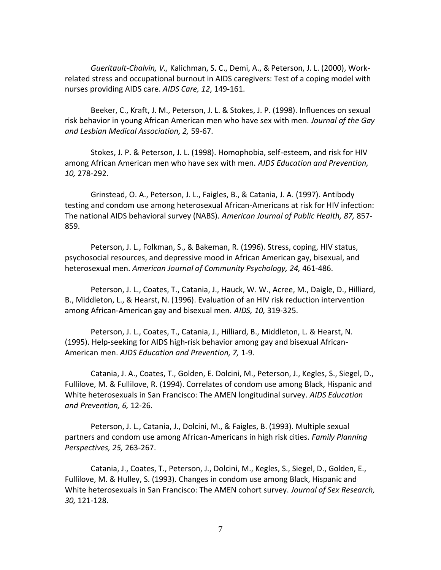*Gueritault-Chalvin, V.,* Kalichman, S. C., Demi, A., & Peterson, J. L. (2000), Workrelated stress and occupational burnout in AIDS caregivers: Test of a coping model with nurses providing AIDS care. *AIDS Care, 12*, 149-161.

Beeker, C., Kraft, J. M., Peterson, J. L. & Stokes, J. P. (1998). Influences on sexual risk behavior in young African American men who have sex with men. *Journal of the Gay and Lesbian Medical Association, 2,* 59-67.

Stokes, J. P. & Peterson, J. L. (1998). Homophobia, self-esteem, and risk for HIV among African American men who have sex with men. *AIDS Education and Prevention, 10,* 278-292.

Grinstead, O. A., Peterson, J. L., Faigles, B., & Catania, J. A. (1997). Antibody testing and condom use among heterosexual African-Americans at risk for HIV infection: The national AIDS behavioral survey (NABS). *American Journal of Public Health, 87,* 857- 859.

Peterson, J. L., Folkman, S., & Bakeman, R. (1996). Stress, coping, HIV status, psychosocial resources, and depressive mood in African American gay, bisexual, and heterosexual men. *American Journal of Community Psychology, 24,* 461-486.

Peterson, J. L., Coates, T., Catania, J., Hauck, W. W., Acree, M., Daigle, D., Hilliard, B., Middleton, L., & Hearst, N. (1996). Evaluation of an HIV risk reduction intervention among African-American gay and bisexual men. *AIDS, 10,* 319-325.

Peterson, J. L., Coates, T., Catania, J., Hilliard, B., Middleton, L. & Hearst, N. (1995). Help-seeking for AIDS high-risk behavior among gay and bisexual African-American men. *AIDS Education and Prevention, 7,* 1-9.

Catania, J. A., Coates, T., Golden, E. Dolcini, M., Peterson, J., Kegles, S., Siegel, D., Fullilove, M. & Fullilove, R. (1994). Correlates of condom use among Black, Hispanic and White heterosexuals in San Francisco: The AMEN longitudinal survey. *AIDS Education and Prevention, 6,* 12-26.

Peterson, J. L., Catania, J., Dolcini, M., & Faigles, B. (1993). Multiple sexual partners and condom use among African-Americans in high risk cities. *Family Planning Perspectives, 25,* 263-267.

Catania, J., Coates, T., Peterson, J., Dolcini, M., Kegles, S., Siegel, D., Golden, E., Fullilove, M. & Hulley, S. (1993). Changes in condom use among Black, Hispanic and White heterosexuals in San Francisco: The AMEN cohort survey. *Journal of Sex Research, 30,* 121-128.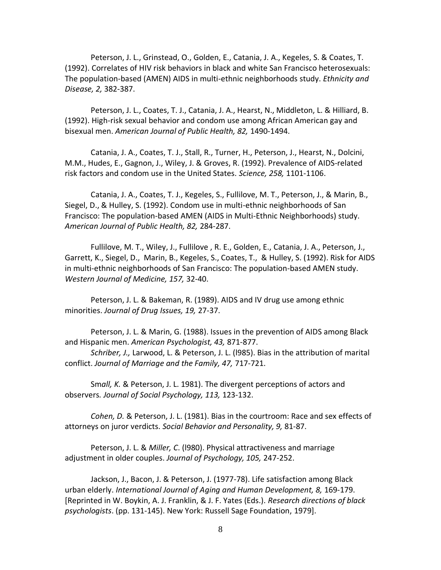Peterson, J. L., Grinstead, O., Golden, E., Catania, J. A., Kegeles, S. & Coates, T. (1992). Correlates of HIV risk behaviors in black and white San Francisco heterosexuals: The population-based (AMEN) AIDS in multi-ethnic neighborhoods study. *Ethnicity and Disease, 2,* 382-387.

Peterson, J. L., Coates, T. J., Catania, J. A., Hearst, N., Middleton, L. & Hilliard, B. (1992). High-risk sexual behavior and condom use among African American gay and bisexual men. *American Journal of Public Health, 82,* 1490-1494.

Catania, J. A., Coates, T. J., Stall, R., Turner, H., Peterson, J., Hearst, N., Dolcini, M.M., Hudes, E., Gagnon, J., Wiley, J. & Groves, R. (1992). Prevalence of AIDS-related risk factors and condom use in the United States. *Science, 258,* 1101-1106.

Catania, J. A., Coates, T. J., Kegeles, S., Fullilove, M. T., Peterson, J., & Marin, B., Siegel, D., & Hulley, S. (1992). Condom use in multi-ethnic neighborhoods of San Francisco: The population-based AMEN (AIDS in Multi-Ethnic Neighborhoods) study. *American Journal of Public Health, 82,* 284-287.

Fullilove, M. T., Wiley, J., Fullilove , R. E., Golden, E., Catania, J. A., Peterson, J., Garrett, K., Siegel, D., Marin, B., Kegeles, S., Coates, T., & Hulley, S. (1992). Risk for AIDS in multi-ethnic neighborhoods of San Francisco: The population-based AMEN study. *Western Journal of Medicine, 157,* 32-40.

Peterson, J. L. & Bakeman, R. (1989). AIDS and IV drug use among ethnic minorities. *Journal of Drug Issues, 19,* 27-37.

Peterson, J. L. & Marin, G. (1988). Issues in the prevention of AIDS among Black and Hispanic men. *American Psychologist, 43,* 871-877.

*Schriber, J.,* Larwood, L. & Peterson, J. L. (l985). Bias in the attribution of marital conflict. *Journal of Marriage and the Family, 47,* 717-721.

Sm*all, K.* & Peterson, J. L. 1981). The divergent perceptions of actors and observers*. Journal of Social Psychology, 113,* 123-132.

*Cohen, D.* & Peterson, J. L. (1981). Bias in the courtroom: Race and sex effects of attorneys on juror verdicts. *Social Behavior and Personality, 9,* 81-87.

Peterson, J. L. & *Miller, C*. (l980). Physical attractiveness and marriage adjustment in older couples. *Journal of Psychology, 105,* 247-252.

Jackson, J., Bacon, J. & Peterson, J. (1977-78). Life satisfaction among Black urban elderly. *International Journal of Aging and Human Development, 8,* 169-179. [Reprinted in W. Boykin, A. J. Franklin, & J. F. Yates (Eds.). *Research directions of black psychologists*. (pp. 131-145). New York: Russell Sage Foundation, 1979].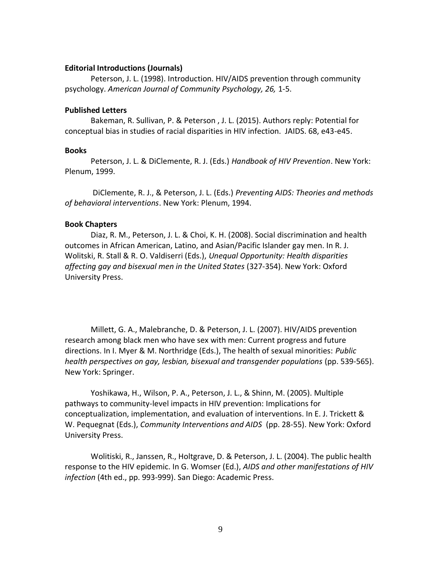#### **Editorial Introductions (Journals)**

Peterson, J. L. (1998). Introduction. HIV/AIDS prevention through community psychology. *American Journal of Community Psychology, 26,* 1-5.

### **Published Letters**

Bakeman, R. Sullivan, P. & Peterson , J. L. (2015). Authors reply: Potential for conceptual bias in studies of racial disparities in HIV infection. JAIDS. 68, e43-e45.

### **Books**

Peterson, J. L. & DiClemente, R. J. (Eds.) *Handbook of HIV Prevention*. New York: Plenum, 1999.

DiClemente, R. J., & Peterson, J. L. (Eds.) *Preventing AIDS: Theories and methods of behavioral interventions*. New York: Plenum, 1994.

### **Book Chapters**

Diaz, R. M., Peterson, J. L. & Choi, K. H. (2008). Social discrimination and health outcomes in African American, Latino, and Asian/Pacific Islander gay men. In R. J. Wolitski, R. Stall & R. O. Valdiserri (Eds.), *Unequal Opportunity: Health disparities affecting gay and bisexual men in the United States* (327-354). New York: Oxford University Press.

Millett, G. A., Malebranche, D. & Peterson, J. L. (2007). HIV/AIDS prevention research among black men who have sex with men: Current progress and future directions. In I. Myer & M. Northridge (Eds.), The health of sexual minorities: *Public health perspectives on gay, lesbian, bisexual and transgender populations* (pp. 539-565). New York: Springer.

Yoshikawa, H., Wilson, P. A., Peterson, J. L., & Shinn, M. (2005). Multiple pathways to community-level impacts in HIV prevention: Implications for conceptualization, implementation, and evaluation of interventions. In E. J. Trickett & W. Pequegnat (Eds.), *Community Interventions and AIDS* (pp. 28-55). New York: Oxford University Press.

Wolitiski, R., Janssen, R., Holtgrave, D. & Peterson, J. L. (2004). The public health response to the HIV epidemic. In G. Womser (Ed.), *AIDS and other manifestations of HIV infection* (4th ed., pp. 993-999). San Diego: Academic Press.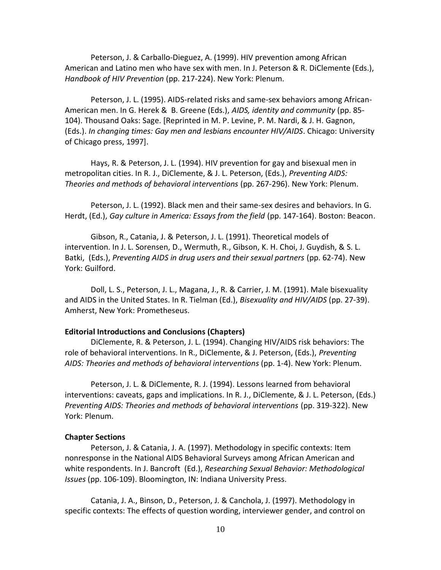Peterson, J. & Carballo-Dieguez, A. (1999). HIV prevention among African American and Latino men who have sex with men. In J. Peterson & R. DiClemente (Eds.), *Handbook of HIV Prevention* (pp. 217-224). New York: Plenum.

Peterson, J. L. (1995). AIDS-related risks and same-sex behaviors among African-American men. In G. Herek & B. Greene (Eds.), *AIDS, identity and community* (pp. 85- 104). Thousand Oaks: Sage. [Reprinted in M. P. Levine, P. M. Nardi, & J. H. Gagnon, (Eds.). *In changing times: Gay men and lesbians encounter HIV/AIDS*. Chicago: University of Chicago press, 1997].

Hays, R. & Peterson, J. L. (1994). HIV prevention for gay and bisexual men in metropolitan cities. In R. J., DiClemente, & J. L. Peterson, (Eds.), *Preventing AIDS: Theories and methods of behavioral interventions* (pp. 267-296). New York: Plenum.

Peterson, J. L. (1992). Black men and their same-sex desires and behaviors. In G. Herdt, (Ed.), *Gay culture in America: Essays from the field* (pp. 147-164). Boston: Beacon.

Gibson, R., Catania, J. & Peterson, J. L. (1991). Theoretical models of intervention. In J. L. Sorensen, D., Wermuth, R., Gibson, K. H. Choi, J. Guydish, & S. L. Batki, (Eds.), *Preventing AIDS in drug users and their sexual partners* (pp. 62-74). New York: Guilford.

Doll, L. S., Peterson, J. L., Magana, J., R. & Carrier, J. M. (1991). Male bisexuality and AIDS in the United States. In R. Tielman (Ed.), *Bisexuality and HIV/AIDS* (pp. 27-39). Amherst, New York: Prometheseus.

### **Editorial Introductions and Conclusions (Chapters)**

DiClemente, R. & Peterson, J. L. (1994). Changing HIV/AIDS risk behaviors: The role of behavioral interventions. In R., DiClemente, & J. Peterson, (Eds.), *Preventing AIDS: Theories and methods of behavioral interventions* (pp. 1-4). New York: Plenum.

Peterson, J. L. & DiClemente, R. J. (1994). Lessons learned from behavioral interventions: caveats, gaps and implications. In R. J., DiClemente, & J. L. Peterson, (Eds.) *Preventing AIDS: Theories and methods of behavioral interventions* (pp. 319-322). New York: Plenum.

#### **Chapter Sections**

Peterson, J. & Catania, J. A. (1997). Methodology in specific contexts: Item nonresponse in the National AIDS Behavioral Surveys among African American and white respondents. In J. Bancroft (Ed.), *Researching Sexual Behavior: Methodological Issues* (pp. 106-109). Bloomington, IN: Indiana University Press.

Catania, J. A., Binson, D., Peterson, J. & Canchola, J. (1997). Methodology in specific contexts: The effects of question wording, interviewer gender, and control on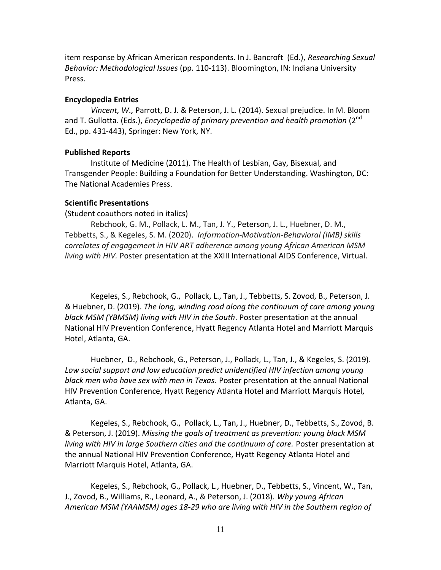item response by African American respondents. In J. Bancroft (Ed.), *Researching Sexual Behavior: Methodological Issues* (pp. 110-113). Bloomington, IN: Indiana University Press.

#### **Encyclopedia Entries**

*Vincent, W.,* Parrott, D. J. & Peterson, J. L. (2014). Sexual prejudice. In M. Bloom and T. Gullotta. (Eds.), *Encyclopedia of primary prevention and health promotion* (2<sup>nd</sup> Ed., pp. 431-443), Springer: New York, NY.

#### **Published Reports**

Institute of Medicine (2011). The Health of Lesbian, Gay, Bisexual, and Transgender People: Building a Foundation for Better Understanding. Washington, DC: The National Academies Press.

## **Scientific Presentations**

(Student coauthors noted in italics)

Rebchook, G. M., Pollack, L. M., Tan, J. Y., Peterson, J. L., Huebner, D. M., Tebbetts, S., & Kegeles, S. M. (2020). *Information-Motivation-Behavioral (IMB) skills correlates of engagement in HIV ART adherence among young African American MSM living with HIV.* Poster presentation at the XXIII International AIDS Conference, Virtual.

Kegeles, S., Rebchook, G., Pollack, L., Tan, J., Tebbetts, S. Zovod, B., Peterson, J. & Huebner, D. (2019). *The long, winding road along the continuum of care among young black MSM (YBMSM) living with HIV in the South*. Poster presentation at the annual National HIV Prevention Conference, Hyatt Regency Atlanta Hotel and Marriott Marquis Hotel, Atlanta, GA.

Huebner, D., Rebchook, G., Peterson, J., Pollack, L., Tan, J., & Kegeles, S. (2019). *Low social support and low education predict unidentified HIV infection among young black men who have sex with men in Texas.* Poster presentation at the annual National HIV Prevention Conference, Hyatt Regency Atlanta Hotel and Marriott Marquis Hotel, Atlanta, GA.

Kegeles, S., Rebchook, G., Pollack, L., Tan, J., Huebner, D., Tebbetts, S., Zovod, B. & Peterson, J. (2019). *Missing the goals of treatment as prevention: young black MSM living with HIV in large Southern cities and the continuum of care.* Poster presentation at the annual National HIV Prevention Conference, Hyatt Regency Atlanta Hotel and Marriott Marquis Hotel, Atlanta, GA.

Kegeles, S., Rebchook, G., Pollack, L., Huebner, D., Tebbetts, S., Vincent, W., Tan, J., Zovod, B., Williams, R., Leonard, A., & Peterson, J. (2018). *Why young African American MSM (YAAMSM) ages 18-29 who are living with HIV in the Southern region of*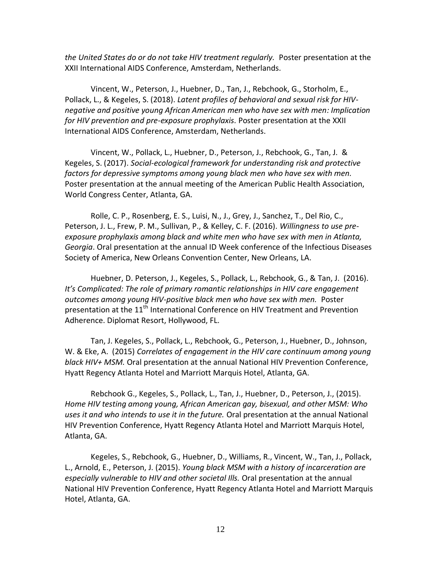*the United States do or do not take HIV treatment regularly.* Poster presentation at the XXII International AIDS Conference, Amsterdam, Netherlands.

Vincent, W., Peterson, J., Huebner, D., Tan, J., Rebchook, G., Storholm, E., Pollack, L., & Kegeles, S. (2018). *Latent profiles of behavioral and sexual risk for HIVnegative and positive young African American men who have sex with men: Implication for HIV prevention and pre-exposure prophylaxis.* Poster presentation at the XXII International AIDS Conference, Amsterdam, Netherlands.

Vincent, W., Pollack, L., Huebner, D., Peterson, J., Rebchook, G., Tan, J. & Kegeles, S. (2017). *Social-ecological framework for understanding risk and protective factors for depressive symptoms among young black men who have sex with men.* Poster presentation at the annual meeting of the American Public Health Association, World Congress Center, Atlanta, GA.

Rolle, C. P., Rosenberg, E. S., Luisi, N., J., Grey, J., Sanchez, T., Del Rio, C., Peterson, J. L., Frew, P. M., Sullivan, P., & Kelley, C. F. (2016). *Willingness to use preexposure prophylaxis among black and white men who have sex with men in Atlanta, Georgia*. Oral presentation at the annual ID Week conference of the Infectious Diseases Society of America, New Orleans Convention Center, New Orleans, LA.

Huebner, D. Peterson, J., Kegeles, S., Pollack, L., Rebchook, G., & Tan, J. (2016). *It's Complicated: The role of primary romantic relationships in HIV care engagement outcomes among young HIV-positive black men who have sex with men.* Poster presentation at the  $11<sup>th</sup>$  International Conference on HIV Treatment and Prevention Adherence. Diplomat Resort, Hollywood, FL.

Tan, J. Kegeles, S., Pollack, L., Rebchook, G., Peterson, J., Huebner, D., Johnson, W. & Eke, A. (2015) *Correlates of engagement in the HIV care continuum among young black HIV+ MSM.* Oral presentation at the annual National HIV Prevention Conference, Hyatt Regency Atlanta Hotel and Marriott Marquis Hotel, Atlanta, GA.

Rebchook G., Kegeles, S., Pollack, L., Tan, J., Huebner, D., Peterson, J., (2015). *Home HIV testing among young, African American gay, bisexual, and other MSM: Who uses it and who intends to use it in the future.* Oral presentation at the annual National HIV Prevention Conference, Hyatt Regency Atlanta Hotel and Marriott Marquis Hotel, Atlanta, GA.

Kegeles, S., Rebchook, G., Huebner, D., Williams, R., Vincent, W., Tan, J., Pollack, L., Arnold, E., Peterson, J. (2015). *Young black MSM with a history of incarceration are especially vulnerable to HIV and other societal Ills.* Oral presentation at the annual National HIV Prevention Conference, Hyatt Regency Atlanta Hotel and Marriott Marquis Hotel, Atlanta, GA.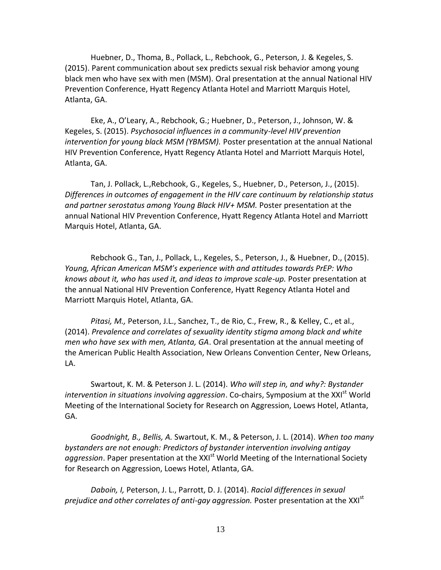Huebner, D., Thoma, B., Pollack, L., Rebchook, G., Peterson, J. & Kegeles, S. (2015). Parent communication about sex predicts sexual risk behavior among young black men who have sex with men (MSM). Oral presentation at the annual National HIV Prevention Conference, Hyatt Regency Atlanta Hotel and Marriott Marquis Hotel, Atlanta, GA.

Eke, A., O'Leary, A., Rebchook, G.; Huebner, D., Peterson, J., Johnson, W. & Kegeles, S. (2015). *Psychosocial influences in a community-level HIV prevention intervention for young black MSM (YBMSM).* Poster presentation at the annual National HIV Prevention Conference, Hyatt Regency Atlanta Hotel and Marriott Marquis Hotel, Atlanta, GA.

Tan, J. Pollack, L.,Rebchook, G., Kegeles, S., Huebner, D., Peterson, J., (2015). *Differences in outcomes of engagement in the HIV care continuum by relationship status and partner serostatus among Young Black HIV+ MSM.* Poster presentation at the annual National HIV Prevention Conference, Hyatt Regency Atlanta Hotel and Marriott Marquis Hotel, Atlanta, GA.

Rebchook G., Tan, J., Pollack, L., Kegeles, S., Peterson, J., & Huebner, D., (2015). *Young, African American MSM's experience with and attitudes towards PrEP: Who knows about it, who has used it, and ideas to improve scale-up.* Poster presentation at the annual National HIV Prevention Conference, Hyatt Regency Atlanta Hotel and Marriott Marquis Hotel, Atlanta, GA.

*Pitasi, M.,* Peterson, J.L., Sanchez, T., de Rio, C., Frew, R., & Kelley, C., et al., (2014). *Prevalence and correlates of sexuality identity stigma among black and white men who have sex with men, Atlanta, GA*. Oral presentation at the annual meeting of the American Public Health Association, New Orleans Convention Center, New Orleans, LA.

Swartout, K. M. & Peterson J. L. (2014). *Who will step in, and why?: Bystander intervention in situations involving aggression.* Co-chairs, Symposium at the XXI<sup>st</sup> World Meeting of the International Society for Research on Aggression, Loews Hotel, Atlanta, GA.

*Goodnight, B., Bellis, A.* Swartout, K. M., & Peterson, J. L. (2014). *When too many bystanders are not enough: Predictors of bystander intervention involving antigay*  aggression. Paper presentation at the XXI<sup>st</sup> World Meeting of the International Society for Research on Aggression, Loews Hotel, Atlanta, GA.

*Daboin, I,* Peterson, J. L., Parrott, D. J. (2014). *Racial differences in sexual*  prejudice and other correlates of anti-gay aggression. Poster presentation at the XXI<sup>st</sup>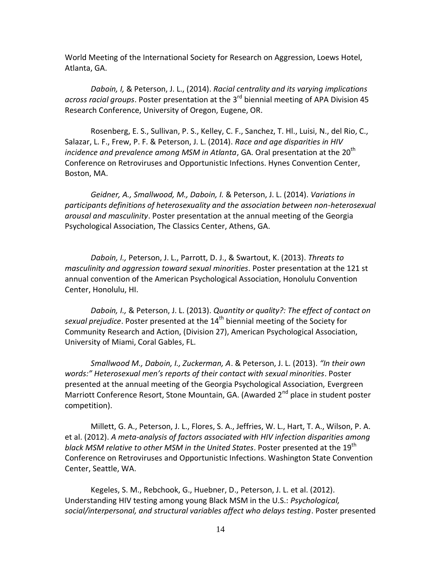World Meeting of the International Society for Research on Aggression, Loews Hotel, Atlanta, GA.

*Daboin, I,* & Peterson, J. L., (2014). *Racial centrality and its varying implications*  across racial groups. Poster presentation at the 3<sup>rd</sup> biennial meeting of APA Division 45 Research Conference, University of Oregon, Eugene, OR.

Rosenberg, E. S., Sullivan, P. S., Kelley, C. F., Sanchez, T. Hl., Luisi, N., del Rio, C., Salazar, L. F., Frew, P. F. & Peterson, J. L. (2014). *Race and age disparities in HIV incidence and prevalence among MSM in Atlanta*, GA. Oral presentation at the 20<sup>th</sup> Conference on Retroviruses and Opportunistic Infections. Hynes Convention Center, Boston, MA.

*Geidner, A., Smallwood, M., Daboin, I.* & Peterson, J. L. (2014). *Variations in participants definitions of heterosexuality and the association between non-heterosexual arousal and masculinity*. Poster presentation at the annual meeting of the Georgia Psychological Association, The Classics Center, Athens, GA.

*Daboin, I.,* Peterson, J. L., Parrott, D. J., & Swartout, K. (2013). *Threats to masculinity and aggression toward sexual minorities*. Poster presentation at the 121 st annual convention of the American Psychological Association, Honolulu Convention Center, Honolulu, HI.

*Daboin, I.,* & Peterson, J. L. (2013). *Quantity or quality?: The effect of contact on sexual prejudice*. Poster presented at the 14th biennial meeting of the Society for Community Research and Action, (Division 27), American Psychological Association, University of Miami, Coral Gables, FL.

*Smallwood M., Daboin, I., Zuckerman, A*. & Peterson, J. L. (2013). *"In their own words:" Heterosexual men's reports of their contact with sexual minorities*. Poster presented at the annual meeting of the Georgia Psychological Association, Evergreen Marriott Conference Resort, Stone Mountain, GA. (Awarded 2<sup>nd</sup> place in student poster competition).

Millett, G. A., Peterson, J. L., Flores, S. A., Jeffries, W. L., Hart, T. A., Wilson, P. A. et al. (2012). *A meta-analysis of factors associated with HIV infection disparities among black MSM relative to other MSM in the United States*. Poster presented at the 19th Conference on Retroviruses and Opportunistic Infections. Washington State Convention Center, Seattle, WA.

Kegeles, S. M., Rebchook, G., Huebner, D., Peterson, J. L. et al. (2012). Understanding HIV testing among young Black MSM in the U.S.: *Psychological, social/interpersonal, and structural variables affect who delays testing*. Poster presented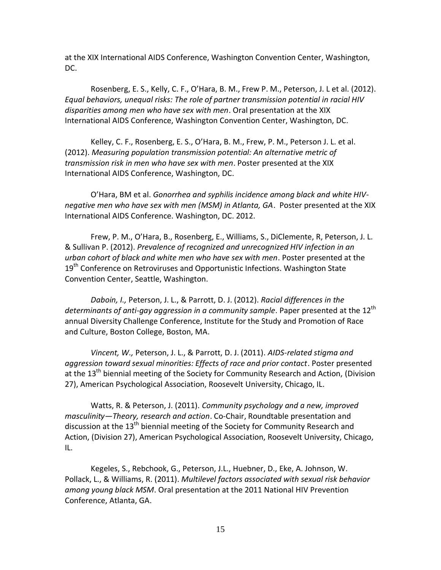at the XIX International AIDS Conference, Washington Convention Center, Washington, DC.

Rosenberg, E. S., Kelly, C. F., O'Hara, B. M., Frew P. M., Peterson, J. L et al. (2012). *Equal behaviors, unequal risks: The role of partner transmission potential in racial HIV disparities among men who have sex with men*. Oral presentation at the XIX International AIDS Conference, Washington Convention Center, Washington, DC.

Kelley, C. F., Rosenberg, E. S., O'Hara, B. M., Frew, P. M., Peterson J. L. et al. (2012). *Measuring population transmission potential: An alternative metric of transmission risk in men who have sex with men*. Poster presented at the XIX International AIDS Conference, Washington, DC.

O'Hara, BM et al. *Gonorrhea and syphilis incidence among black and white HIVnegative men who have sex with men (MSM) in Atlanta, GA*. Poster presented at the XIX International AIDS Conference. Washington, DC. 2012.

Frew, P. M., O'Hara, B., Rosenberg, E., Williams, S., DiClemente, R, Peterson, J. L. & Sullivan P. (2012). *Prevalence of recognized and unrecognized HIV infection in an urban cohort of black and white men who have sex with men*. Poster presented at the 19<sup>th</sup> Conference on Retroviruses and Opportunistic Infections. Washington State Convention Center, Seattle, Washington.

*Daboin, I.,* Peterson, J. L., & Parrott, D. J. (2012). *Racial differences in the*  determinants of anti-gay aggression in a community sample. Paper presented at the 12<sup>th</sup> annual Diversity Challenge Conference, Institute for the Study and Promotion of Race and Culture, Boston College, Boston, MA.

*Vincent, W.,* Peterson, J. L., & Parrott, D. J. (2011). *AIDS-related stigma and aggression toward sexual minorities: Effects of race and prior contact*. Poster presented at the 13<sup>th</sup> biennial meeting of the Society for Community Research and Action, (Division 27), American Psychological Association, Roosevelt University, Chicago, IL.

Watts, R. & Peterson, J. (2011). *Community psychology and a new, improved masculinity—Theory, research and action*. Co-Chair, Roundtable presentation and discussion at the  $13<sup>th</sup>$  biennial meeting of the Society for Community Research and Action, (Division 27), American Psychological Association, Roosevelt University, Chicago, IL.

Kegeles, S., Rebchook, G., Peterson, J.L., Huebner, D., Eke, A. Johnson, W. Pollack, L., & Williams, R. (2011). *Multilevel factors associated with sexual risk behavior among young black MSM*. Oral presentation at the 2011 National HIV Prevention Conference, Atlanta, GA.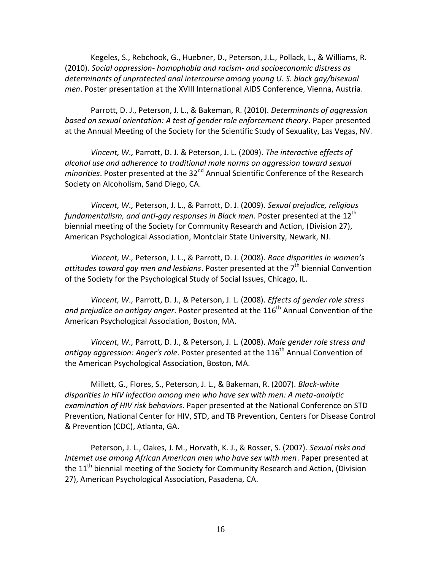Kegeles, S., Rebchook, G., Huebner, D., Peterson, J.L., Pollack, L., & Williams, R. (2010). *Social oppression- homophobia and racism- and socioeconomic distress as determinants of unprotected anal intercourse among young U. S. black gay/bisexual men*. Poster presentation at the XVIII International AIDS Conference, Vienna, Austria.

Parrott, D. J., Peterson, J. L., & Bakeman, R. (2010). *Determinants of aggression based on sexual orientation: A test of gender role enforcement theory*. Paper presented at the Annual Meeting of the Society for the Scientific Study of Sexuality, Las Vegas, NV.

*Vincent, W.,* Parrott, D. J. & Peterson, J. L. (2009). *The interactive effects of alcohol use and adherence to traditional male norms on aggression toward sexual minorities*. Poster presented at the 32<sup>nd</sup> Annual Scientific Conference of the Research Society on Alcoholism, Sand Diego, CA.

*Vincent, W.,* Peterson, J. L., & Parrott, D. J. (2009). *Sexual prejudice, religious fundamentalism, and anti-gay responses in Black men.* Poster presented at the 12<sup>th</sup> biennial meeting of the Society for Community Research and Action, (Division 27), American Psychological Association, Montclair State University, Newark, NJ.

*Vincent, W.,* Peterson, J. L., & Parrott, D. J. (2008). *Race disparities in women's*  attitudes toward gay men and lesbians. Poster presented at the 7<sup>th</sup> biennial Convention of the Society for the Psychological Study of Social Issues, Chicago, IL.

*Vincent, W.,* Parrott, D. J., & Peterson, J. L. (2008). *Effects of gender role stress*  and prejudice on antigay anger. Poster presented at the 116<sup>th</sup> Annual Convention of the American Psychological Association, Boston, MA.

*Vincent, W.,* Parrott, D. J., & Peterson, J. L. (2008). *Male gender role stress and*  antigay aggression: Anger's role. Poster presented at the 116<sup>th</sup> Annual Convention of the American Psychological Association, Boston, MA.

Millett, G., Flores, S., Peterson, J. L., & Bakeman, R. (2007). *Black-white disparities in HIV infection among men who have sex with men: A meta-analytic examination of HIV risk behaviors*. Paper presented at the National Conference on STD Prevention, National Center for HIV, STD, and TB Prevention, Centers for Disease Control & Prevention (CDC), Atlanta, GA.

Peterson, J. L., Oakes, J. M., Horvath, K. J., & Rosser, S. (2007). *Sexual risks and Internet use among African American men who have sex with men*. Paper presented at the 11<sup>th</sup> biennial meeting of the Society for Community Research and Action, (Division 27), American Psychological Association, Pasadena, CA.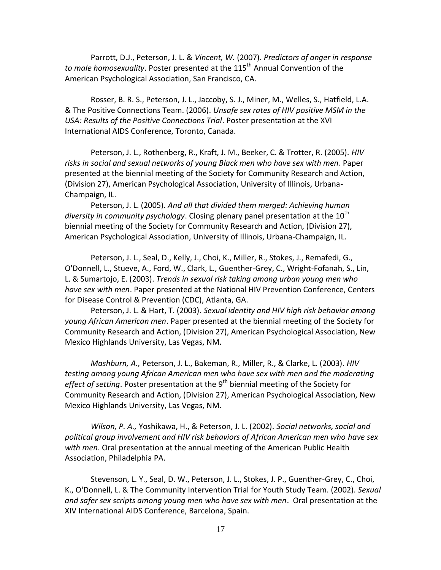Parrott, D.J., Peterson, J. L. & *Vincent, W.* (2007). *Predictors of anger in response*  to male homosexuality. Poster presented at the 115<sup>th</sup> Annual Convention of the American Psychological Association, San Francisco, CA.

Rosser, B. R. S., Peterson, J. L., Jaccoby, S. J., Miner, M., Welles, S., Hatfield, L.A. & The Positive Connections Team. (2006). *Unsafe sex rates of HIV positive MSM in the USA: Results of the Positive Connections Trial*. Poster presentation at the XVI International AIDS Conference, Toronto, Canada.

Peterson, J. L., Rothenberg, R., Kraft, J. M., Beeker, C. & Trotter, R. (2005). *HIV risks in social and sexual networks of young Black men who have sex with men*. Paper presented at the biennial meeting of the Society for Community Research and Action, (Division 27), American Psychological Association, University of Illinois, Urbana-Champaign, IL.

Peterson, J. L. (2005). *And all that divided them merged: Achieving human diversity in community psychology*. Closing plenary panel presentation at the 10<sup>th</sup> biennial meeting of the Society for Community Research and Action, (Division 27), American Psychological Association, University of Illinois, Urbana-Champaign, IL.

Peterson, J. L., Seal, D., Kelly, J., Choi, K., Miller, R., Stokes, J., Remafedi, G., O'Donnell, L., Stueve, A., Ford, W., Clark, L., Guenther-Grey, C., Wright-Fofanah, S., Lin, L. & Sumartojo, E. (2003). *Trends in sexual risk taking among urban young men who have sex with men*. Paper presented at the National HIV Prevention Conference, Centers for Disease Control & Prevention (CDC), Atlanta, GA.

Peterson, J. L. & Hart, T. (2003). *Sexual identity and HIV high risk behavior among young African American men*. Paper presented at the biennial meeting of the Society for Community Research and Action, (Division 27), American Psychological Association, New Mexico Highlands University, Las Vegas, NM.

*Mashburn, A.,* Peterson, J. L., Bakeman, R., Miller, R., & Clarke, L. (2003). *HIV testing among young African American men who have sex with men and the moderating*  effect of setting. Poster presentation at the 9<sup>th</sup> biennial meeting of the Society for Community Research and Action, (Division 27), American Psychological Association, New Mexico Highlands University, Las Vegas, NM.

*Wilson, P. A.,* Yoshikawa, H., & Peterson, J. L. (2002). *Social networks, social and political group involvement and HIV risk behaviors of African American men who have sex with men*. Oral presentation at the annual meeting of the American Public Health Association, Philadelphia PA.

Stevenson, L. Y., Seal, D. W., Peterson, J. L., Stokes, J. P., Guenther-Grey, C., Choi, K., O'Donnell, L. & The Community Intervention Trial for Youth Study Team. (2002). *Sexual and safer sex scripts among young men who have sex with men*. Oral presentation at the XIV International AIDS Conference, Barcelona, Spain.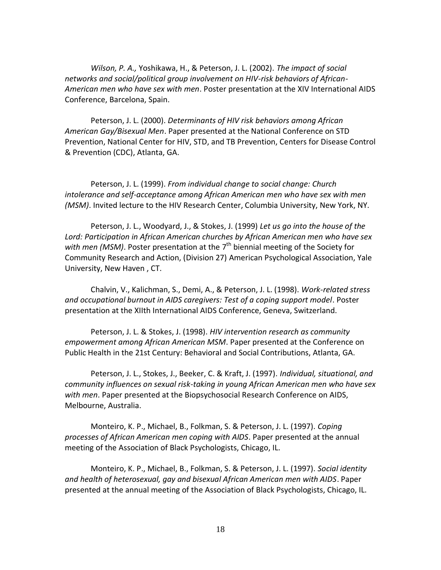*Wilson, P. A.,* Yoshikawa, H., & Peterson, J. L. (2002). *The impact of social networks and social/political group involvement on HIV-risk behaviors of African-American men who have sex with men*. Poster presentation at the XIV International AIDS Conference, Barcelona, Spain.

Peterson, J. L. (2000). *Determinants of HIV risk behaviors among African American Gay/Bisexual Men*. Paper presented at the National Conference on STD Prevention, National Center for HIV, STD, and TB Prevention, Centers for Disease Control & Prevention (CDC), Atlanta, GA.

Peterson, J. L. (1999). *From individual change to social change: Church intolerance and self-acceptance among African American men who have sex with men (MSM)*. Invited lecture to the HIV Research Center, Columbia University, New York, NY.

Peterson, J. L., Woodyard, J., & Stokes, J. (1999) *Let us go into the house of the Lord: Participation in African American churches by African American men who have sex*  with men (MSM). Poster presentation at the 7<sup>th</sup> biennial meeting of the Society for Community Research and Action, (Division 27) American Psychological Association, Yale University, New Haven , CT.

Chalvin, V., Kalichman, S., Demi, A., & Peterson, J. L. (1998). *Work-related stress and occupational burnout in AIDS caregivers: Test of a coping support model*. Poster presentation at the XIIth International AIDS Conference, Geneva, Switzerland.

Peterson, J. L. & Stokes, J. (1998). *HIV intervention research as community empowerment among African American MSM*. Paper presented at the Conference on Public Health in the 21st Century: Behavioral and Social Contributions, Atlanta, GA.

Peterson, J. L., Stokes, J., Beeker, C. & Kraft, J. (1997). *Individual, situational, and community influences on sexual risk-taking in young African American men who have sex with men*. Paper presented at the Biopsychosocial Research Conference on AIDS, Melbourne, Australia.

Monteiro, K. P., Michael, B., Folkman, S. & Peterson, J. L. (1997). *Coping processes of African American men coping with AIDS*. Paper presented at the annual meeting of the Association of Black Psychologists, Chicago, IL.

Monteiro, K. P., Michael, B., Folkman, S. & Peterson, J. L. (1997). *Social identity and health of heterosexual, gay and bisexual African American men with AIDS*. Paper presented at the annual meeting of the Association of Black Psychologists, Chicago, IL.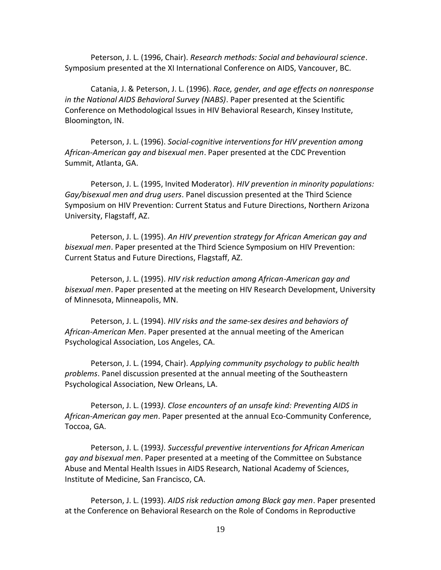Peterson, J. L. (1996, Chair). *Research methods: Social and behavioural science*. Symposium presented at the XI International Conference on AIDS, Vancouver, BC.

Catania, J. & Peterson, J. L. (1996). *Race, gender, and age effects on nonresponse in the National AIDS Behavioral Survey (NABS)*. Paper presented at the Scientific Conference on Methodological Issues in HIV Behavioral Research, Kinsey Institute, Bloomington, IN.

Peterson, J. L. (1996). *Social-cognitive interventions for HIV prevention among African-American gay and bisexual men*. Paper presented at the CDC Prevention Summit, Atlanta, GA.

Peterson, J. L. (1995, Invited Moderator). *HIV prevention in minority populations: Gay/bisexual men and drug users*. Panel discussion presented at the Third Science Symposium on HIV Prevention: Current Status and Future Directions, Northern Arizona University, Flagstaff, AZ.

Peterson, J. L. (1995). *An HIV prevention strategy for African American gay and bisexual men*. Paper presented at the Third Science Symposium on HIV Prevention: Current Status and Future Directions, Flagstaff, AZ.

Peterson, J. L. (1995). *HIV risk reduction among African-American gay and bisexual men*. Paper presented at the meeting on HIV Research Development, University of Minnesota, Minneapolis, MN.

Peterson, J. L. (1994). *HIV risks and the same-sex desires and behaviors of African-American Men*. Paper presented at the annual meeting of the American Psychological Association, Los Angeles, CA.

Peterson, J. L. (1994, Chair). *Applying community psychology to public health problems*. Panel discussion presented at the annual meeting of the Southeastern Psychological Association, New Orleans, LA.

Peterson, J. L. (1993*). Close encounters of an unsafe kind: Preventing AIDS in African-American gay men*. Paper presented at the annual Eco-Community Conference, Toccoa, GA.

Peterson, J. L. (1993*). Successful preventive interventions for African American gay and bisexual men*. Paper presented at a meeting of the Committee on Substance Abuse and Mental Health Issues in AIDS Research, National Academy of Sciences, Institute of Medicine, San Francisco, CA.

Peterson, J. L. (1993). *AIDS risk reduction among Black gay men*. Paper presented at the Conference on Behavioral Research on the Role of Condoms in Reproductive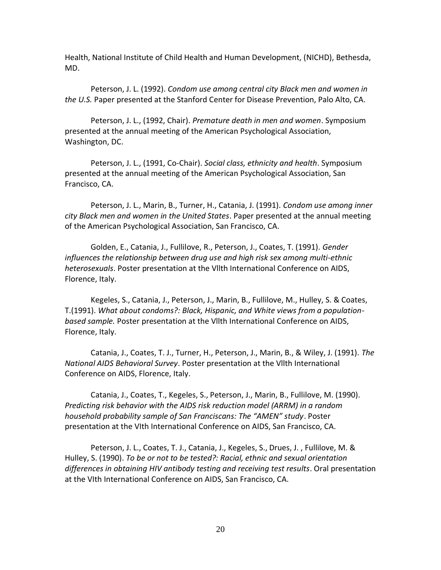Health, National Institute of Child Health and Human Development, (NICHD), Bethesda, MD.

Peterson, J. L. (1992). *Condom use among central city Black men and women in the U.S.* Paper presented at the Stanford Center for Disease Prevention, Palo Alto, CA.

Peterson, J. L., (1992, Chair). *Premature death in men and women*. Symposium presented at the annual meeting of the American Psychological Association, Washington, DC.

Peterson, J. L., (1991, Co-Chair). *Social class, ethnicity and health*. Symposium presented at the annual meeting of the American Psychological Association, San Francisco, CA.

Peterson, J. L., Marin, B., Turner, H., Catania, J. (1991). *Condom use among inner city Black men and women in the United States*. Paper presented at the annual meeting of the American Psychological Association, San Francisco, CA.

Golden, E., Catania, J., Fullilove, R., Peterson, J., Coates, T. (1991). *Gender influences the relationship between drug use and high risk sex among multi-ethnic heterosexuals*. Poster presentation at the Vllth International Conference on AIDS, Florence, Italy.

Kegeles, S., Catania, J., Peterson, J., Marin, B., Fullilove, M., Hulley, S. & Coates, T.(1991). *What about condoms?: Black, Hispanic, and White views from a populationbased sample.* Poster presentation at the Vllth International Conference on AIDS, Florence, Italy.

Catania, J., Coates, T. J., Turner, H., Peterson, J., Marin, B., & Wiley, J. (1991). *The National AIDS Behavioral Survey*. Poster presentation at the Vllth International Conference on AIDS, Florence, Italy.

Catania, J., Coates, T., Kegeles, S., Peterson, J., Marin, B., Fullilove, M. (1990). *Predicting risk behavior with the AIDS risk reduction model (ARRM) in a random household probability sample of San Franciscans: The "AMEN" study*. Poster presentation at the VIth International Conference on AIDS, San Francisco, CA.

Peterson, J. L., Coates, T. J., Catania, J., Kegeles, S., Drues, J. , Fullilove, M. & Hulley, S. (1990). *To be or not to be tested?: Racial, ethnic and sexual orientation differences in obtaining HIV antibody testing and receiving test results*. Oral presentation at the VIth International Conference on AIDS, San Francisco, CA.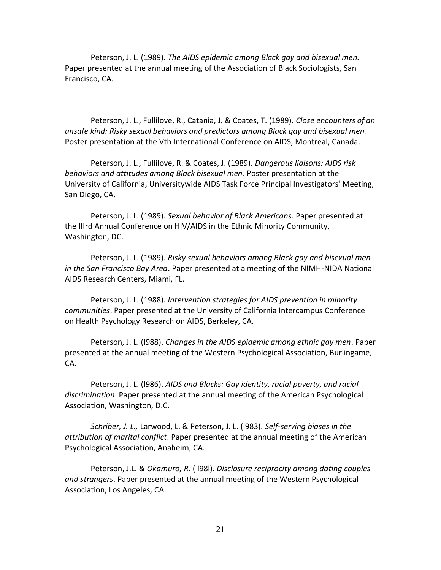Peterson, J. L. (1989). *The AIDS epidemic among Black gay and bisexual men.* Paper presented at the annual meeting of the Association of Black Sociologists, San Francisco, CA.

Peterson, J. L., Fullilove, R., Catania, J. & Coates, T. (1989). *Close encounters of an unsafe kind: Risky sexual behaviors and predictors among Black gay and bisexual men*. Poster presentation at the Vth International Conference on AIDS, Montreal, Canada.

Peterson, J. L., Fullilove, R. & Coates, J. (1989). *Dangerous liaisons: AIDS risk behaviors and attitudes among Black bisexual men*. Poster presentation at the University of California, Universitywide AIDS Task Force Principal Investigators' Meeting, San Diego, CA.

Peterson, J. L. (1989). *Sexual behavior of Black Americans*. Paper presented at the IIIrd Annual Conference on HIV/AIDS in the Ethnic Minority Community, Washington, DC.

Peterson, J. L. (1989). *Risky sexual behaviors among Black gay and bisexual men in the San Francisco Bay Area*. Paper presented at a meeting of the NIMH-NIDA National AIDS Research Centers, Miami, FL.

Peterson, J. L. (1988). *Intervention strategies for AIDS prevention in minority communities*. Paper presented at the University of California Intercampus Conference on Health Psychology Research on AIDS, Berkeley, CA.

Peterson, J. L. (l988). *Changes in the AIDS epidemic among ethnic gay men*. Paper presented at the annual meeting of the Western Psychological Association, Burlingame, CA.

Peterson, J. L. (l986). *AIDS and Blacks: Gay identity, racial poverty, and racial discrimination*. Paper presented at the annual meeting of the American Psychological Association, Washington, D.C.

*Schriber, J. L.,* Larwood, L. & Peterson, J. L. (l983). *Self-serving biases in the attribution of marital conflict*. Paper presented at the annual meeting of the American Psychological Association, Anaheim, CA.

Peterson, J.L. & *Okamuro, R.* ( l98l). *Disclosure reciprocity among dating couples and strangers*. Paper presented at the annual meeting of the Western Psychological Association, Los Angeles, CA.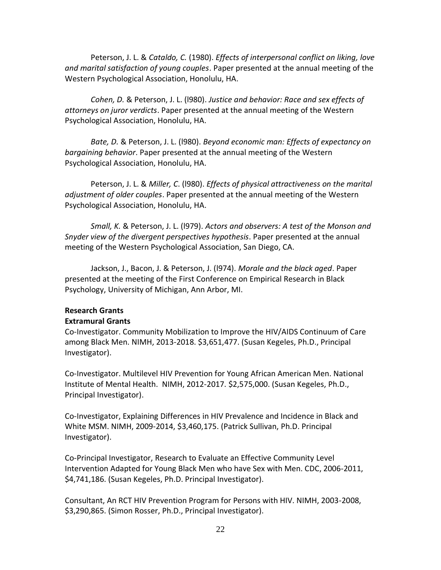Peterson, J. L. & *Cataldo, C.* (1980). *Effects of interpersonal conflict on liking, love and marital satisfaction of young couples*. Paper presented at the annual meeting of the Western Psychological Association, Honolulu, HA.

*Cohen, D.* & Peterson, J. L. (l980). *Justice and behavior: Race and sex effects of attorneys on juror verdicts*. Paper presented at the annual meeting of the Western Psychological Association, Honolulu, HA.

*Bate, D.* & Peterson, J. L. (l980). *Beyond economic man: Effects of expectancy on bargaining behavior*. Paper presented at the annual meeting of the Western Psychological Association, Honolulu, HA.

Peterson, J. L. & *Miller, C*. (l980). *Effects of physical attractiveness on the marital adjustment of older couples*. Paper presented at the annual meeting of the Western Psychological Association, Honolulu, HA.

*Small, K.* & Peterson, J. L. (l979). *Actors and observers: A test of the Monson and Snyder view of the divergent perspectives hypothesis*. Paper presented at the annual meeting of the Western Psychological Association, San Diego, CA.

Jackson, J., Bacon, J. & Peterson, J. (l974). *Morale and the black aged*. Paper presented at the meeting of the First Conference on Empirical Research in Black Psychology, University of Michigan, Ann Arbor, MI.

### **Research Grants Extramural Grants**

Co-Investigator. Community Mobilization to Improve the HIV/AIDS Continuum of Care among Black Men. NIMH, 2013-2018. \$3,651,477. (Susan Kegeles, Ph.D., Principal Investigator).

Co-Investigator. Multilevel HIV Prevention for Young African American Men. National Institute of Mental Health. NIMH, 2012-2017. \$2,575,000. (Susan Kegeles, Ph.D., Principal Investigator).

Co-Investigator, Explaining Differences in HIV Prevalence and Incidence in Black and White MSM. NIMH, 2009-2014, \$3,460,175. (Patrick Sullivan, Ph.D. Principal Investigator).

Co-Principal Investigator, Research to Evaluate an Effective Community Level Intervention Adapted for Young Black Men who have Sex with Men. CDC, 2006-2011, \$4,741,186. (Susan Kegeles, Ph.D. Principal Investigator).

Consultant, An RCT HIV Prevention Program for Persons with HIV. NIMH, 2003-2008, \$3,290,865. (Simon Rosser, Ph.D., Principal Investigator).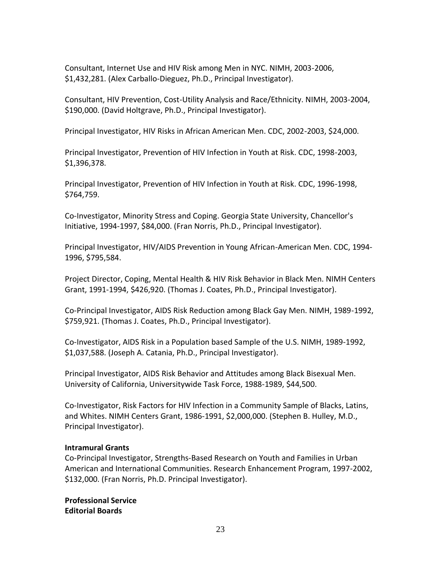Consultant, Internet Use and HIV Risk among Men in NYC. NIMH, 2003-2006, \$1,432,281. (Alex Carballo-Dieguez, Ph.D., Principal Investigator).

Consultant, HIV Prevention, Cost-Utility Analysis and Race/Ethnicity. NIMH, 2003-2004, \$190,000. (David Holtgrave, Ph.D., Principal Investigator).

Principal Investigator, HIV Risks in African American Men. CDC, 2002-2003, \$24,000.

Principal Investigator, Prevention of HIV Infection in Youth at Risk. CDC, 1998-2003, \$1,396,378.

Principal Investigator, Prevention of HIV Infection in Youth at Risk. CDC, 1996-1998, \$764,759.

Co-Investigator, Minority Stress and Coping. Georgia State University, Chancellor's Initiative, 1994-1997, \$84,000. (Fran Norris, Ph.D., Principal Investigator).

Principal Investigator, HIV/AIDS Prevention in Young African-American Men. CDC, 1994- 1996, \$795,584.

Project Director, Coping, Mental Health & HIV Risk Behavior in Black Men. NIMH Centers Grant, 1991-1994, \$426,920. (Thomas J. Coates, Ph.D., Principal Investigator).

Co-Principal Investigator, AIDS Risk Reduction among Black Gay Men. NIMH, 1989-1992, \$759,921. (Thomas J. Coates, Ph.D., Principal Investigator).

Co-Investigator, AIDS Risk in a Population based Sample of the U.S. NIMH, 1989-1992, \$1,037,588. (Joseph A. Catania, Ph.D., Principal Investigator).

Principal Investigator, AIDS Risk Behavior and Attitudes among Black Bisexual Men. University of California, Universitywide Task Force, 1988-1989, \$44,500.

Co-Investigator, Risk Factors for HIV Infection in a Community Sample of Blacks, Latins, and Whites. NIMH Centers Grant, 1986-1991, \$2,000,000. (Stephen B. Hulley, M.D., Principal Investigator).

## **Intramural Grants**

Co-Principal Investigator, Strengths-Based Research on Youth and Families in Urban American and International Communities. Research Enhancement Program, 1997-2002, \$132,000. (Fran Norris, Ph.D. Principal Investigator).

**Professional Service Editorial Boards**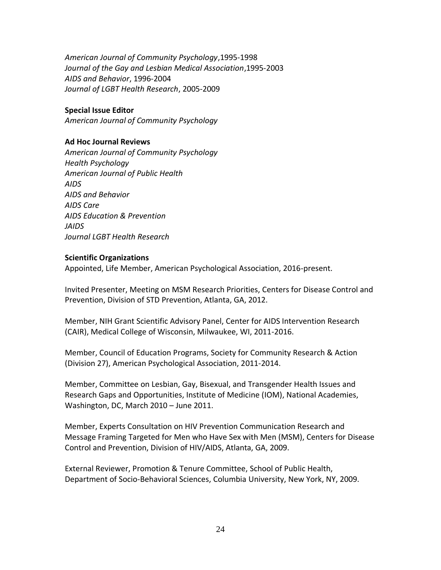*American Journal of Community Psychology*,1995-1998 *Journal of the Gay and Lesbian Medical Association*,1995-2003 *AIDS and Behavior*, 1996-2004 *Journal of LGBT Health Research*, 2005-2009

## **Special Issue Editor**

*American Journal of Community Psychology*

## **Ad Hoc Journal Reviews**

*American Journal of Community Psychology Health Psychology American Journal of Public Health AIDS AIDS and Behavior AIDS Care AIDS Education & Prevention JAIDS Journal LGBT Health Research*

### **Scientific Organizations**

Appointed, Life Member, American Psychological Association, 2016-present.

Invited Presenter, Meeting on MSM Research Priorities, Centers for Disease Control and Prevention, Division of STD Prevention, Atlanta, GA, 2012.

Member, NIH Grant Scientific Advisory Panel, Center for AIDS Intervention Research (CAIR), Medical College of Wisconsin, Milwaukee, WI, 2011-2016.

Member, Council of Education Programs, Society for Community Research & Action (Division 27), American Psychological Association, 2011-2014.

Member, Committee on Lesbian, Gay, Bisexual, and Transgender Health Issues and Research Gaps and Opportunities, Institute of Medicine (IOM), National Academies, Washington, DC, March 2010 – June 2011.

Member, Experts Consultation on HIV Prevention Communication Research and Message Framing Targeted for Men who Have Sex with Men (MSM), Centers for Disease Control and Prevention, Division of HIV/AIDS, Atlanta, GA, 2009.

External Reviewer, Promotion & Tenure Committee, School of Public Health, Department of Socio-Behavioral Sciences, Columbia University, New York, NY, 2009.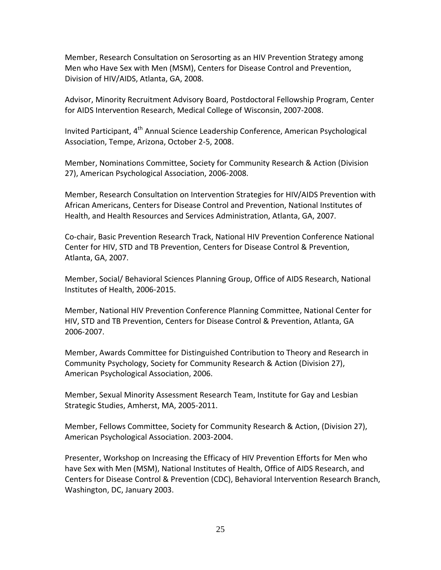Member, Research Consultation on Serosorting as an HIV Prevention Strategy among Men who Have Sex with Men (MSM), Centers for Disease Control and Prevention, Division of HIV/AIDS, Atlanta, GA, 2008.

Advisor, Minority Recruitment Advisory Board, Postdoctoral Fellowship Program, Center for AIDS Intervention Research, Medical College of Wisconsin, 2007-2008.

Invited Participant, 4<sup>th</sup> Annual Science Leadership Conference, American Psychological Association, Tempe, Arizona, October 2-5, 2008.

Member, Nominations Committee, Society for Community Research & Action (Division 27), American Psychological Association, 2006-2008.

Member, Research Consultation on Intervention Strategies for HIV/AIDS Prevention with African Americans, Centers for Disease Control and Prevention, National Institutes of Health, and Health Resources and Services Administration, Atlanta, GA, 2007.

Co-chair, Basic Prevention Research Track, National HIV Prevention Conference National Center for HIV, STD and TB Prevention, Centers for Disease Control & Prevention, Atlanta, GA, 2007.

Member, Social/ Behavioral Sciences Planning Group, Office of AIDS Research, National Institutes of Health, 2006-2015.

Member, National HIV Prevention Conference Planning Committee, National Center for HIV, STD and TB Prevention, Centers for Disease Control & Prevention, Atlanta, GA 2006-2007.

Member, Awards Committee for Distinguished Contribution to Theory and Research in Community Psychology, Society for Community Research & Action (Division 27), American Psychological Association, 2006.

Member, Sexual Minority Assessment Research Team, Institute for Gay and Lesbian Strategic Studies, Amherst, MA, 2005-2011.

Member, Fellows Committee, Society for Community Research & Action, (Division 27), American Psychological Association. 2003-2004.

Presenter, Workshop on Increasing the Efficacy of HIV Prevention Efforts for Men who have Sex with Men (MSM), National Institutes of Health, Office of AIDS Research, and Centers for Disease Control & Prevention (CDC), Behavioral Intervention Research Branch, Washington, DC, January 2003.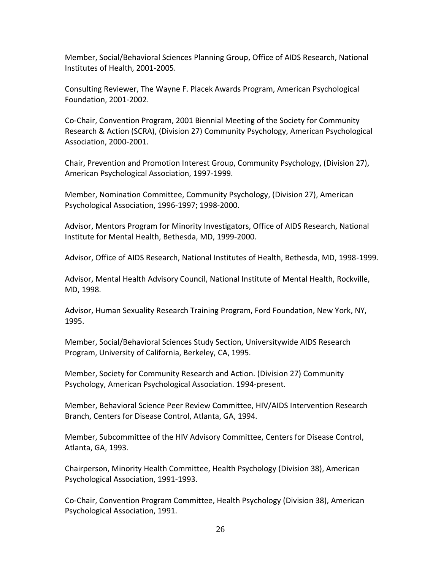Member, Social/Behavioral Sciences Planning Group, Office of AIDS Research, National Institutes of Health, 2001-2005.

Consulting Reviewer, The Wayne F. Placek Awards Program, American Psychological Foundation, 2001-2002.

Co-Chair, Convention Program, 2001 Biennial Meeting of the Society for Community Research & Action (SCRA), (Division 27) Community Psychology, American Psychological Association, 2000-2001.

Chair, Prevention and Promotion Interest Group, Community Psychology, (Division 27), American Psychological Association, 1997-1999.

Member, Nomination Committee, Community Psychology, (Division 27), American Psychological Association, 1996-1997; 1998-2000.

Advisor, Mentors Program for Minority Investigators, Office of AIDS Research, National Institute for Mental Health, Bethesda, MD, 1999-2000.

Advisor, Office of AIDS Research, National Institutes of Health, Bethesda, MD, 1998-1999.

Advisor, Mental Health Advisory Council, National Institute of Mental Health, Rockville, MD, 1998.

Advisor, Human Sexuality Research Training Program, Ford Foundation, New York, NY, 1995.

Member, Social/Behavioral Sciences Study Section, Universitywide AIDS Research Program, University of California, Berkeley, CA, 1995.

Member, Society for Community Research and Action. (Division 27) Community Psychology, American Psychological Association. 1994-present.

Member, Behavioral Science Peer Review Committee, HIV/AIDS Intervention Research Branch, Centers for Disease Control, Atlanta, GA, 1994.

Member, Subcommittee of the HIV Advisory Committee, Centers for Disease Control, Atlanta, GA, 1993.

Chairperson, Minority Health Committee, Health Psychology (Division 38), American Psychological Association, 1991-1993.

Co-Chair, Convention Program Committee, Health Psychology (Division 38), American Psychological Association, 1991.